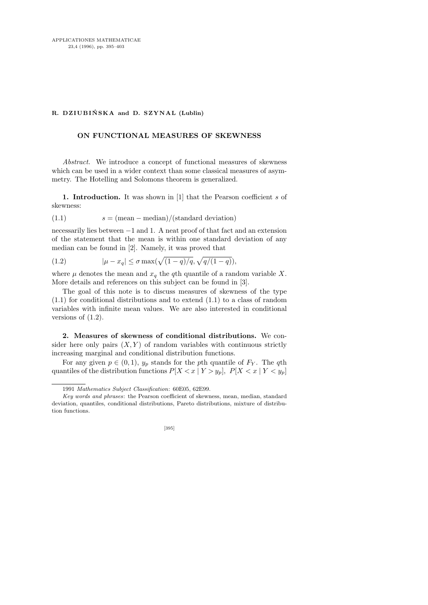## R. DZIUBIŃSKA and D. SZYNAL (Lublin)

## ON FUNCTIONAL MEASURES OF SKEWNESS

Abstract. We introduce a concept of functional measures of skewness which can be used in a wider context than some classical measures of asymmetry. The Hotelling and Solomons theorem is generalized.

1. Introduction. It was shown in [1] that the Pearson coefficient s of skewness:

$$
(1.1) \t s = (mean - median)/(standard deviation)
$$

necessarily lies between −1 and 1. A neat proof of that fact and an extension of the statement that the mean is within one standard deviation of any median can be found in [2]. Namely, it was proved that

(1.2) 
$$
|\mu - x_q| \le \sigma \max(\sqrt{(1-q)/q}, \sqrt{q/(1-q)}),
$$

where  $\mu$  denotes the mean and  $x_q$  the qth quantile of a random variable X. More details and references on this subject can be found in [3].

The goal of this note is to discuss measures of skewness of the type (1.1) for conditional distributions and to extend (1.1) to a class of random variables with infinite mean values. We are also interested in conditional versions of  $(1.2)$ .

2. Measures of skewness of conditional distributions. We consider here only pairs  $(X, Y)$  of random variables with continuous strictly increasing marginal and conditional distribution functions.

For any given  $p \in (0, 1)$ ,  $y_p$  stands for the pth quantile of  $F_Y$ . The qth quantiles of the distribution functions  $P[X < x \mid Y > y_p], P[X < x \mid Y < y_p]$ 

*Key words and phrases*: the Pearson coefficient of skewness, mean, median, standard deviation, quantiles, conditional distributions, Pareto distributions, mixture of distribution functions.



<sup>1991</sup> *Mathematics Subject Classification*: 60E05, 62E99.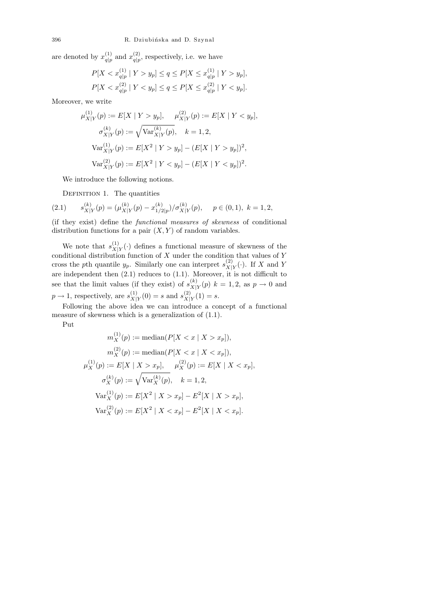are denoted by  $x_{a|n}^{(1)}$  $\frac{(1)}{q|p}$  and  $x_{q|p}^{(2)}$  $\frac{q}{q}$ , respectively, i.e. we have

$$
P[X < x_{q|p}^{(1)} \mid Y > y_p] \le q \le P[X \le x_{q|p}^{(1)} \mid Y > y_p],
$$
\n
$$
P[X < x_{q|p}^{(2)} \mid Y < y_p] \le q \le P[X \le x_{q|p}^{(2)} \mid Y < y_p].
$$

Moreover, we write

$$
\mu_{X|Y}^{(1)}(p) := E[X \mid Y > y_p], \quad \mu_{X|Y}^{(2)}(p) := E[X \mid Y < y_p],
$$
  
\n
$$
\sigma_{X|Y}^{(k)}(p) := \sqrt{\text{Var}_{X|Y}^{(k)}(p)}, \quad k = 1, 2,
$$
  
\n
$$
\text{Var}_{X|Y}^{(1)}(p) := E[X^2 \mid Y > y_p] - (E[X \mid Y > y_p])^2,
$$
  
\n
$$
\text{Var}_{X|Y}^{(2)}(p) := E[X^2 \mid Y < y_p] - (E[X \mid Y < y_p])^2.
$$

We introduce the following notions.

DEFINITION 1. The quantities

(2.1) 
$$
s_{X|Y}^{(k)}(p) = (\mu_{X|Y}^{(k)}(p) - x_{1/2|p}^{(k)}) / \sigma_{X|Y}^{(k)}(p), \quad p \in (0,1), \ k = 1,2,
$$

(if they exist) define the functional measures of skewness of conditional distribution functions for a pair  $(X, Y)$  of random variables.

We note that  $s_{X}^{(1)}$  $\frac{X|Y}{X|Y}$  defines a functional measure of skewness of the conditional distribution function of X under the condition that values of Y cross the pth quantile  $y_p$ . Similarly one can interpret  $s_{X|}^{(2)}$  $X|Y(\cdot)$ . If X and Y are independent then  $(2.1)$  reduces to  $(1.1)$ . Moreover, it is not difficult to see that the limit values (if they exist) of  $s_{X}^{(k)}$  $X_{X|Y}^{(k)}(p)$   $k = 1, 2$ , as  $p \to 0$  and  $p \rightarrow 1$ , respectively, are  $s_{X}^{(1)}$  $\chi_{|Y}^{(1)}(0) = s$  and  $s_{X|}^{(2)}$  $\chi|Y(1) = s.$ 

Following the above idea we can introduce a concept of a functional measure of skewness which is a generalization of (1.1).

Put

$$
m_X^{(1)}(p) := \text{median}(P[X < x \mid X > x_p]),
$$
\n
$$
m_X^{(2)}(p) := \text{median}(P[X < x \mid X < x_p]),
$$
\n
$$
\mu_X^{(1)}(p) := E[X \mid X > x_p], \quad \mu_X^{(2)}(p) := E[X \mid X < x_p],
$$
\n
$$
\sigma_X^{(k)}(p) := \sqrt{\text{Var}_X^{(k)}(p)}, \quad k = 1, 2,
$$
\n
$$
\text{Var}_X^{(1)}(p) := E[X^2 \mid X > x_p] - E^2[X \mid X > x_p],
$$
\n
$$
\text{Var}_X^{(2)}(p) := E[X^2 \mid X < x_p] - E^2[X \mid X < x_p].
$$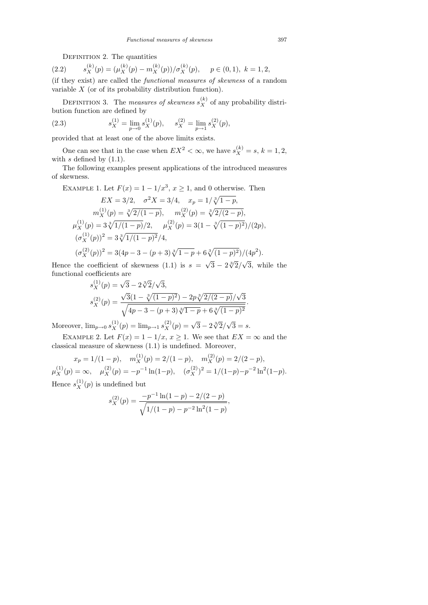DEFINITION 2. The quantities

 $(2.2)$  $(X_X^{(k)}(p) = (\mu_X^{(k)}(p) - m_X^{(k)}(p))/\sigma_X^{(k)}(p), \quad p \in (0, 1), \ k = 1, 2,$ 

(if they exist) are called the functional measures of skewness of a random variable X (or of its probability distribution function).

DEFINITION 3. The *measures of skewness*  $s_X^{(k)}$  of any probability distribution function are defined by

(2.3) 
$$
s_X^{(1)} = \lim_{p \to 0} s_X^{(1)}(p), \quad s_X^{(2)} = \lim_{p \to 1} s_X^{(2)}(p),
$$

provided that at least one of the above limits exists.

One can see that in the case when  $EX^2 < \infty$ , we have  $s_X^{(k)} = s, k = 1, 2$ , with  $s$  defined by  $(1.1)$ .

The following examples present applications of the introduced measures of skewness.

EXAMPLE 1. Let  $F(x) = 1 - 1/x^3$ ,  $x \ge 1$ , and 0 otherwise. Then

$$
EX = 3/2, \quad \sigma^2 X = 3/4, \quad x_p = 1/\sqrt[3]{1-p},
$$
  
\n
$$
m_X^{(1)}(p) = \sqrt[3]{2/(1-p)}, \quad m_X^{(2)}(p) = \sqrt[3]{2/(2-p)},
$$
  
\n
$$
\mu_X^{(1)}(p) = 3\sqrt[3]{1/(1-p)}/2, \quad \mu_X^{(2)}(p) = 3(1 - \sqrt[3]{(1-p)^2})/(2p),
$$
  
\n
$$
(\sigma_X^{(1)}(p))^2 = 3\sqrt[3]{1/(1-p)^2}/4,
$$
  
\n
$$
(\sigma_X^{(2)}(p))^2 = 3(4p - 3 - (p + 3)\sqrt[3]{1-p} + 6\sqrt[3]{(1-p)^2})/(4p^2).
$$

Hence the coefficient of skewness  $(1.1)$  is  $s =$ √  $\sqrt{3} - 2\sqrt[3]{2}/$ √ 3, while the functional coefficients are<br>  $s^{(1)}_X(p) = \sqrt{3}$ √

$$
s_X^{(1)}(p) = \sqrt{3} - 2\sqrt[3]{2}/\sqrt{3},
$$
  
\n
$$
s_X^{(2)}(p) = \frac{\sqrt{3}(1 - \sqrt[3]{(1-p)^2}) - 2p\sqrt[3]{2/(2-p)}/\sqrt{3}}{\sqrt{4p-3 - (p+3)\sqrt[3]{1-p} + 6\sqrt[3]{(1-p)^2}}}
$$

.

Moreover,  $\lim_{p\to 0} s_X^{(1)}(p) = \lim_{p\to 1} s_X^{(2)}(p) = \sqrt{3} - 2\sqrt[3]{2}/$ √  $3 = s$ .

EXAMPLE 2. Let  $F(x) = 1 - 1/x, x \ge 1$ . We see that  $EX = \infty$  and the classical measure of skewness (1.1) is undefined. Moreover,

$$
x_p = 1/(1-p), \quad m_X^{(1)}(p) = 2/(1-p), \quad m_X^{(2)}(p) = 2/(2-p),
$$
  

$$
\mu_X^{(1)}(p) = \infty, \quad \mu_X^{(2)}(p) = -p^{-1}\ln(1-p), \quad (\sigma_X^{(2)})^2 = 1/(1-p)-p^{-2}\ln^2(1-p).
$$
  
Hence  $s_X^{(1)}(p)$  is undefined but

$$
s_X^{(2)}(p) = \frac{-p^{-1}\ln(1-p) - 2/(2-p)}{\sqrt{1/(1-p) - p^{-2}\ln^2(1-p)}},
$$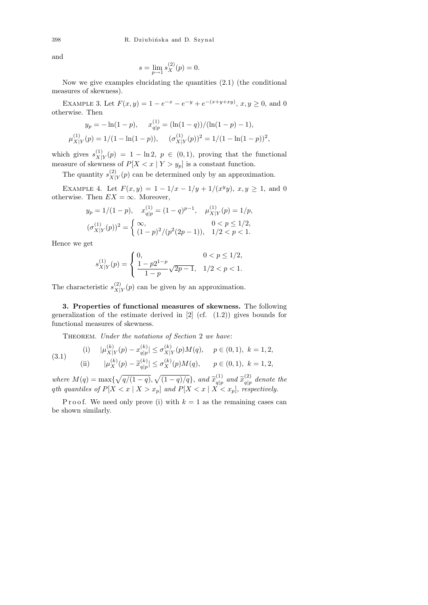and

$$
s = \lim_{p \to 1} s_X^{(2)}(p) = 0.
$$

Now we give examples elucidating the quantities (2.1) (the conditional measures of skewness).

EXAMPLE 3. Let  $F(x, y) = 1 - e^{-x} - e^{-y} + e^{-(x+y+xy)}$ ,  $x, y \ge 0$ , and 0 otherwise. Then

$$
y_p = -\ln(1-p), \quad x_{q|p}^{(1)} = (\ln(1-q))/( \ln(1-p) - 1),
$$
  

$$
\mu_{X|Y}^{(1)}(p) = 1/(1 - \ln(1-p)), \quad (\sigma_{X|Y}^{(1)}(p))^2 = 1/(1 - \ln(1-p))^2,
$$

which gives  $s_{X|}^{(1)}$  $\chi_{|Y}^{(1)}(p) = 1 - \ln 2$ ,  $p \in (0, 1)$ , proving that the functional measure of skewness of  $P[X < x \mid Y > y_p]$  is a constant function.

The quantity  $s_{X}^{(2)}$  $\chi(Y|Y|Y)$  can be determined only by an approximation.

EXAMPLE 4. Let  $F(x, y) = 1 - 1/x - 1/y + 1/(x^2y), x, y \ge 1$ , and 0 otherwise. Then  $EX = \infty$ . Moreover,

$$
y_p = 1/(1-p), \quad x_{q|p}^{(1)} = (1-q)^{p-1}, \quad \mu_{X|Y}^{(1)}(p) = 1/p,
$$
  

$$
(\sigma_{X|Y}^{(1)}(p))^2 = \begin{cases} \infty, & 0 < p \le 1/2, \\ (1-p)^2/(p^2(2p-1)), & 1/2 < p < 1. \end{cases}
$$

Hence we get

$$
s_{X|Y}^{(1)}(p) = \begin{cases} 0, & 0 < p \le 1/2, \\ \frac{1 - p2^{1-p}}{1 - p} \sqrt{2p - 1}, & 1/2 < p < 1. \end{cases}
$$

The characteristic  $s_{X}^{(2)}$  $\chi^{(2)}_{X|Y}(p)$  can be given by an approximation.

3. Properties of functional measures of skewness. The following generalization of the estimate derived in  $[2]$  (cf.  $(1.2)$ ) gives bounds for functional measures of skewness.

THEOREM. Under the notations of Section 2 we have:

(3.1) (i) 
$$
|\mu_{X|Y}^{(k)}(p) - x_{q|p}^{(k)}| \le \sigma_{X|Y}^{(k)}(p)M(q), \quad p \in (0,1), \ k = 1,2,
$$
  
\n(ii)  $|\mu_X^{(k)}(p) - \tilde{x}_{q|p}^{(k)}| \le \sigma_X^{(k)}(p)M(q), \quad p \in (0,1), \ k = 1,2,$ 

where  $M(q) = \max\{\sqrt{q/(1-q)}, \sqrt{(1-q)/q}\},\$  and  $\widetilde{x}_{q|p}^{(1)}$  $\widetilde{q}|p \overline{q}$  and  $\widetilde{x}\begin{pmatrix} 2\\ p \end{pmatrix}$  $q|p$  denote the qth quantiles of  $P[X < x \mid X > x_p]$  and  $P[X < x \mid X < x_p]$ , respectively.

P r o o f. We need only prove (i) with  $k = 1$  as the remaining cases can be shown similarly.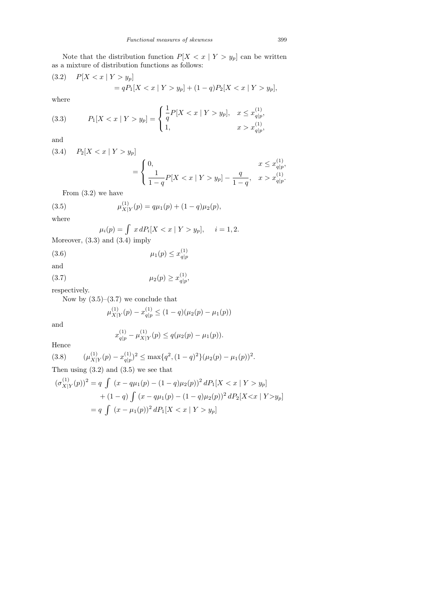Note that the distribution function  $P[X < x \mid Y > y_p]$  can be written as a mixture of distribution functions as follows:

(3.2) 
$$
P[X < x \mid Y > y_p] = qP_1[X < x \mid Y > y_p] + (1 - q)P_2[X < x \mid Y > y_p],
$$

where

(3.3) 
$$
P_1[X < x \mid Y > y_p] = \begin{cases} \frac{1}{q} P[X < x \mid Y > y_p], & x \leq x_{q|p}^{(1)}, \\ 1, & x > x_{q|p}^{(1)}, \end{cases}
$$

and

$$
(3.4) \quad P_2[X < x \mid Y > y_p] \\
\qquad \qquad = \left\{ \begin{array}{c} \mathbf{1} & \mathbf{1} & \mathbf{1} & \mathbf{1} & \mathbf{1} & \mathbf{1} & \mathbf{1} & \mathbf{1} & \mathbf{1} & \mathbf{1} & \mathbf{1} & \mathbf{1} & \mathbf{1} & \mathbf{1} & \mathbf{1} & \mathbf{1} & \mathbf{1} & \mathbf{1} & \mathbf{1} & \mathbf{1} & \mathbf{1} & \mathbf{1} & \mathbf{1} & \mathbf{1} & \mathbf{1} & \mathbf{1} & \mathbf{1} & \mathbf{1} & \mathbf{1} & \mathbf{1} & \mathbf{1} & \mathbf{1} & \mathbf{1} & \mathbf{1} & \mathbf{1} & \mathbf{1} & \mathbf{1} & \mathbf{1} & \mathbf{1} & \mathbf{1} & \mathbf{1} & \mathbf{1} & \mathbf{1} & \mathbf{1} & \mathbf{1} & \mathbf{1} & \mathbf{1} & \mathbf{1} & \mathbf{1} & \mathbf{1} & \mathbf{1} & \mathbf{1} & \mathbf{1} & \mathbf{1} & \mathbf{1} & \mathbf{1} & \mathbf{1} & \mathbf{1} & \mathbf{1} & \mathbf{1} & \mathbf{1} & \mathbf{1} & \mathbf{1} & \mathbf{1} & \mathbf{1} & \mathbf{1} & \mathbf{1} & \mathbf{1} & \mathbf{1} & \mathbf{1} & \mathbf{1} & \mathbf{1} & \mathbf{1} & \mathbf{1} & \mathbf{1} & \mathbf{1} & \mathbf{1} & \mathbf{1} & \mathbf{1} & \mathbf{1}
$$

$$
\frac{x \leq x_{q|p}^{(1)}}{1-q} P[X < x \mid Y > y_p] - \frac{q}{1-q}, \quad x > x_{q|p}^{(1)}.
$$

From (3.2) we have

(3.5) 
$$
\mu_{X|Y}^{(1)}(p) = q\mu_1(p) + (1-q)\mu_2(p),
$$

where

$$
\mu_i(p) = \int x dP_i[X < x \mid Y > y_p], \quad i = 1, 2.
$$

Moreover, (3.3) and (3.4) imply

(3.6) 
$$
\mu_1(p) \le x_{q|p}^{(1)}
$$

and  $(3.7)$ 

$$
\mu_2(p) \ge x_{q|p}^{(1)},
$$

respectively.

Now by  $(3.5)$ – $(3.7)$  we conclude that

$$
\mu_{X|Y}^{(1)}(p)-x_{q|p}^{(1)}\leq (1-q)(\mu_2(p)-\mu_1(p))
$$

and

$$
x_{q|p}^{(1)} - \mu_{X|Y}^{(1)}(p) \le q(\mu_2(p) - \mu_1(p)).
$$

Hence

(3.8) 
$$
(\mu_{X|Y}^{(1)}(p) - x_{q|p}^{(1)})^2 \le \max\{q^2, (1-q)^2\} (\mu_2(p) - \mu_1(p))^2.
$$
  
Then using (3.2) and (3.5) we see that

$$
(\sigma_{X|Y}^{(1)}(p))^2 = q \int (x - q\mu_1(p) - (1 - q)\mu_2(p))^2 dP_1[X < x | Y > y_p]
$$
  
+ (1 - q) 
$$
\int (x - q\mu_1(p) - (1 - q)\mu_2(p))^2 dP_2[X < x | Y > y_p]
$$
  
= q 
$$
\int (x - \mu_1(p))^2 dP_1[X < x | Y > y_p]
$$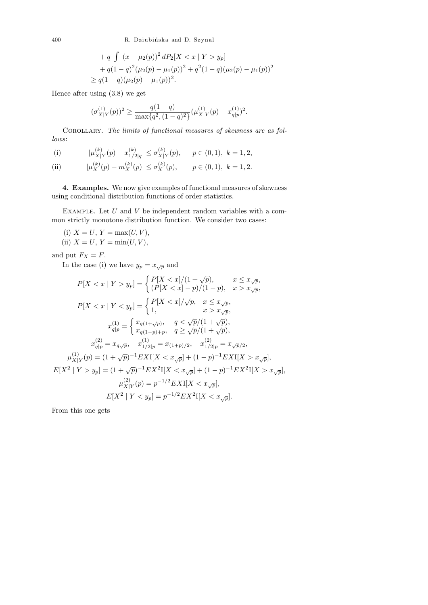400 R. Dziubińska and D. Szynal

+
$$
q \int (x - \mu_2(p))^2 dP_2[X < x | Y > y_p]
$$
  
+ $q(1-q)^2(\mu_2(p) - \mu_1(p))^2 + q^2(1-q)(\mu_2(p) - \mu_1(p))^2$   
 $\geq q(1-q)(\mu_2(p) - \mu_1(p))^2$ .

Hence after using (3.8) we get

$$
(\sigma_{X|Y}^{(1)}(p))^2 \ge \frac{q(1-q)}{\max\{q^2, (1-q)^2\}} (\mu_{X|Y}^{(1)}(p) - x_{q|p}^{(1)})^2.
$$

COROLLARY. The limits of functional measures of skewness are as follows:

(i) 
$$
|\mu_{X|Y}^{(k)}(p) - x_{1/2|q}^{(k)}| \le \sigma_{X|Y}^{(k)}(p), \quad p \in (0,1), \ k = 1,2,
$$

(ii) 
$$
|\mu_X^{(k)}(p) - m_X^{(k)}(p)| \le \sigma_X^{(k)}(p), \qquad p \in (0,1), \ k = 1,2.
$$

4. Examples. We now give examples of functional measures of skewness using conditional distribution functions of order statistics.

EXAMPLE. Let  $U$  and  $V$  be independent random variables with a common strictly monotone distribution function. We consider two cases:

(i)  $X = U, Y = \max(U, V),$ (ii)  $X = U, Y = \min(U, V),$ 

and put  $F_X = F$ .

In the case (i) we have  $y_p = x_{\sqrt{p}}$  and

$$
P[X < x \mid Y > y_p] = \begin{cases} P[X < x]/(1 + \sqrt{p}), & x \le x_{\sqrt{p}}, \\ (P[X < x] - p)/(1 - p), & x > x_{\sqrt{p}}, \end{cases}
$$
\n
$$
P[X < x \mid Y < y_p] = \begin{cases} P[X < x]/\sqrt{p}, & x \le x_{\sqrt{p}}, \\ 1, & x > x_{\sqrt{p}}, \end{cases}
$$
\n
$$
x_{q|p}^{(1)} = \begin{cases} x_{q(1 + \sqrt{p})}, & q < \sqrt{p}/(1 + \sqrt{p}), \\ x_{q(1 - p) + p}, & q \ge \sqrt{p}/(1 + \sqrt{p}), \end{cases}
$$
\n
$$
x_{q|p}^{(2)} = x_{q\sqrt{p}}, & x_{1/2|p}^{(1)} = x_{(1 + p)/2}, & x_{1/2|p}^{(2)} = x_{\sqrt{p}/2}, \\ \mu_{X|Y}^{(1)}(p) = (1 + \sqrt{p})^{-1} EXI[X < x_{\sqrt{p}}] + (1 - p)^{-1} EXI[X > x_{\sqrt{p}}], \\ E[X^2 \mid Y > y_p] = (1 + \sqrt{p})^{-1} EX^2I[X < x_{\sqrt{p}}] + (1 - p)^{-1} EX^2I[X > x_{\sqrt{p}}], \\ \mu_{X|Y}^{(2)}(p) = p^{-1/2} EXI[X < x_{\sqrt{p}}], \\ E[X^2 \mid Y < y_p] = p^{-1/2} EX^2I[X < x_{\sqrt{p}}]. \end{cases}
$$

From this one gets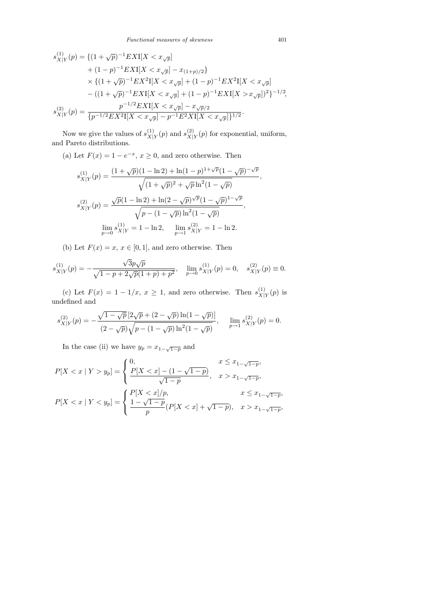$$
s_{X|Y}^{(1)}(p) = \{ (1+\sqrt{p})^{-1} EXI[X < x_{\sqrt{p}}] + (1-p)^{-1} EXI[X < x_{\sqrt{p}}] - x_{(1+p)/2} \} \times \{ (1+\sqrt{p})^{-1} EX^2I[X < x_{\sqrt{p}}] + (1-p)^{-1} EX^2I[X < x_{\sqrt{p}}] - ((1+\sqrt{p})^{-1} EXI[X < x_{\sqrt{p}}] + (1-p)^{-1} EXI[X > x_{\sqrt{p}}] )^2 \}^{-1/2},
$$
  

$$
s_{X|Y}^{(2)}(p) = \frac{p^{-1/2} EXI[X < x_{\sqrt{p}}] - x_{\sqrt{p}/2}}{\{p^{-1/2} EX^2I[X < x_{\sqrt{p}}] - p^{-1}E^2XI[X < x_{\sqrt{p}}]\}^{1/2}}.
$$

Now we give the values of  $s_{X}^{(1)}$  $\chi|Y(p)$  and  $s_{X|}^{(2)}$  $\chi^{(2)}_{X|Y}(p)$  for exponential, uniform, and Pareto distributions.

(a) Let  $F(x) = 1 - e^{-x}, x \ge 0$ , and zero otherwise. Then

$$
s_{X|Y}^{(1)}(p) = \frac{(1+\sqrt{p})(1-\ln 2) + \ln(1-p)^{1+\sqrt{p}}(1-\sqrt{p})^{-\sqrt{p}}}{\sqrt{(1+\sqrt{p})^2 + \sqrt{p}\ln^2(1-\sqrt{p})}},
$$
  

$$
s_{X|Y}^{(2)}(p) = \frac{\sqrt{p}(1-\ln 2) + \ln(2-\sqrt{p})^{\sqrt{p}}(1-\sqrt{p})^{1-\sqrt{p}}}{\sqrt{p-(1-\sqrt{p})\ln^2(1-\sqrt{p})}},
$$
  

$$
\lim_{p\to 0} s_{X|Y}^{(1)} = 1 - \ln 2, \quad \lim_{p\to 1} s_{X|Y}^{(2)} = 1 - \ln 2.
$$

(b) Let  $F(x) = x, x \in [0, 1]$ , and zero otherwise. Then

$$
s_{X|Y}^{(1)}(p) = -\frac{\sqrt{3}p\sqrt{p}}{\sqrt{1-p+2\sqrt{p}(1+p)+p^2}}, \quad \lim_{p \to 0} s_{X|Y}^{(1)}(p) = 0, \quad s_{X|Y}^{(2)}(p) \equiv 0.
$$

(c) Let  $F(x) = 1 - 1/x$ ,  $x \ge 1$ , and zero otherwise. Then  $s_{X_1}^{(1)}$  $\chi|Y(p)$  is undefined and

$$
s_{X|Y}^{(2)}(p) = -\frac{\sqrt{1-\sqrt{p}}\left[2\sqrt{p}+(2-\sqrt{p})\ln(1-\sqrt{p})\right]}{(2-\sqrt{p})\sqrt{p-(1-\sqrt{p})\ln^2(1-\sqrt{p})}}, \quad \lim_{p\to 1} s_{X|Y}^{(2)}(p) = 0.
$$

In the case (ii) we have  $y_p = x_{1-\sqrt{1-p}}$  and

$$
P[X < x \mid Y > y_p] = \begin{cases} 0, & x \le x_{1-\sqrt{1-p}}, \\ \frac{P[X < x] - (1 - \sqrt{1-p})}{\sqrt{1-p}}, & x > x_{1-\sqrt{1-p}}, \\ P[X < x \mid Y < y_p] = \begin{cases} P[X < x]/p, & x \le x_{1-\sqrt{1-p}}, \\ \frac{1 - \sqrt{1-p}}{p}(P[X < x] + \sqrt{1-p}), & x > x_{1-\sqrt{1-p}}, \end{cases}
$$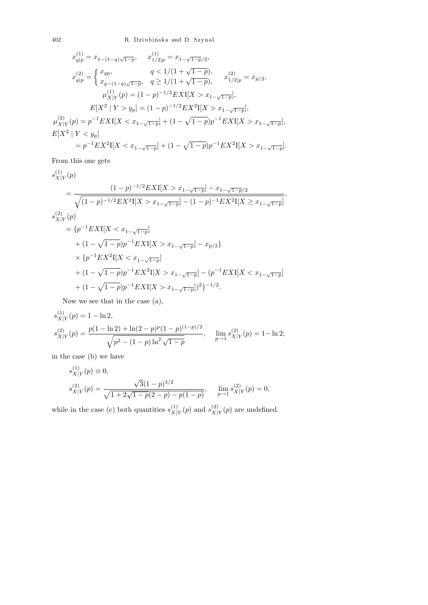402 R. Dziubińska and D. Szynal

$$
x_{q|p}^{(1)} = x_{1-(1-q)\sqrt{1-p}}, \t x_{1/2|p}^{(1)} = x_{1-\sqrt{1-p}/2},
$$
  
\n
$$
x_{q|p}^{(2)} = \begin{cases} x_{qp}, & q < 1/(1+\sqrt{1-p}), \\ x_{q-(1-q)\sqrt{1-p}}, & q \ge 1/(1+\sqrt{1-p}), \end{cases} x_{1/2|p}^{(2)} = x_{p/2},
$$
  
\n
$$
\mu_{X|Y}^{(1)}(p) = (1-p)^{-1/2} EXI[X > x_{1-\sqrt{1-p}}],
$$
  
\n
$$
E[X^2 | Y > y_p] = (1-p)^{-1/2} EX^2I[X > x_{1-\sqrt{1-p}}],
$$
  
\n
$$
\mu_{X|Y}^{(2)}(p) = p^{-1} EXI[X < x_{1-\sqrt{1-p}}] + (1-\sqrt{1-p})p^{-1} EXI[X > x_{1-\sqrt{1-p}}],
$$
  
\n
$$
E[X^2 | Y < y_p]
$$
  
\n
$$
= p^{-1} EX^2I[X < x_{1-\sqrt{1-p}}] + (1-\sqrt{1-p})p^{-1} EX^2I[X > x_{1-\sqrt{1-p}}].
$$

From this one gets

$$
s_{X|Y}^{(1)}(p)
$$
\n
$$
= \frac{(1-p)^{-1/2}EXI[X > x_{1-\sqrt{1-p}}] - x_{1-\sqrt{1-p}/2}}{\sqrt{(1-p)^{-1/2}EX^2I[X > x_{1-\sqrt{1-p}}] - (1-p)^{-1}EX^2I[X \ge x_{1-\sqrt{1-p}}]}},
$$
\n
$$
s_{X|Y}^{(2)}(p)
$$
\n
$$
= \{p^{-1}EXI[X < x_{1-\sqrt{1-p}}]\}
$$
\n
$$
+ (1 - \sqrt{1-p})p^{-1}EXI[X > x_{1-\sqrt{1-p}}] - x_{p/2}\}
$$
\n
$$
\times \{p^{-1}EX^2I[X < x_{1-\sqrt{1-p}}]\}
$$
\n
$$
+ (1 - \sqrt{1-p})p^{-1}EX^2I[X > x_{1-\sqrt{1-p}}] - (p^{-1}EXI[X < x_{1-\sqrt{1-p}}]\
$$
\n
$$
+ (1 - \sqrt{1-p})p^{-1}EXI[X > x_{1-\sqrt{1-p}}])^2\}^{-1/2}.
$$

Now we see that in the case (a),

$$
s_{X|Y}^{(1)}(p) = 1 - \ln 2,
$$
  
\n
$$
s_{X|Y}^{(2)}(p) = \frac{p(1 - \ln 2) + \ln(2 - p)^p (1 - p)^{(1 - p)/2}}{\sqrt{p^2 - (1 - p) \ln^2 \sqrt{1 - p}}}, \quad \lim_{p \to 1} s_{X|Y}^{(2)}(p) = 1 - \ln 2;
$$

in the case (b) we have

$$
s_{X|Y}^{(1)}(p) \equiv 0,
$$
  
\n
$$
s_{X|Y}^{(2)}(p) = \frac{\sqrt{3}(1-p)^{3/2}}{\sqrt{1+2\sqrt{1-p}(2-p)-p(1-p)}}, \quad \lim_{p \to 1} s_{X|Y}^{(2)}(p) = 0,
$$

while in the case (c) both quantities  $s_{X}^{(1)}$  $\chi$ <sub>|Y</sub>(p) and  $s_{X|}^{(2)}$  $X|Y(p)$  are undefined.